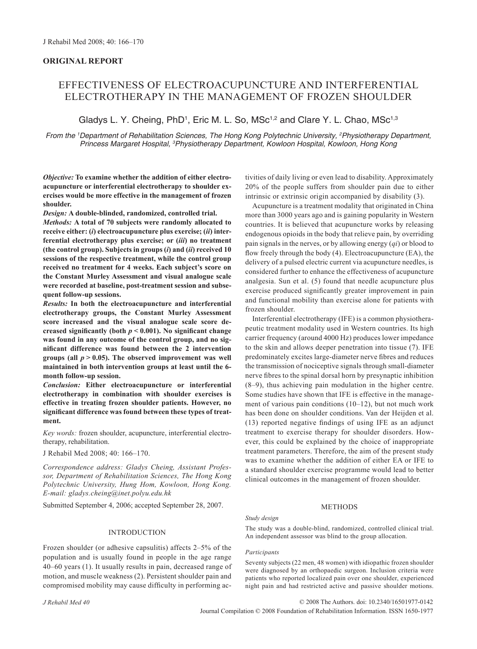# **ORIGINAL REPORT**

# EFFECTIVENESS OF ELECTROACUPUNCTURE AND INTERFERENTIAL ELECTROTHERAPY IN THE MANAGEMENT OF FROZEN SHOULDER

Gladys L. Y. Cheing, PhD<sup>1</sup>, Eric M. L. So, MSc<sup>1,2</sup> and Clare Y. L. Chao, MSc<sup>1,3</sup>

*From the 1 Department of Rehabilitation Sciences, The Hong Kong Polytechnic University, 2 Physiotherapy Department, Princess Margaret Hospital, 3 Physiotherapy Department, Kowloon Hospital, Kowloon, Hong Kong*

*Objective:* **To examine whether the addition of either electroacupuncture or interferential electrotherapy to shoulder exercises would be more effective in the management of frozen shoulder.** 

*Design:* **A double-blinded, randomized, controlled trial.** *Methods:* **A total of 70 subjects were randomly allocated to receive either: (***i***) electroacupuncture plus exercise; (***ii***) interferential electrotherapy plus exercise; or (***iii***) no treatment (the control group). Subjects in groups (***i***) and (***ii***) received 10 sessions of the respective treatment, while the control group received no treatment for 4 weeks. Each subject's score on the Constant Murley Assessment and visual analogue scale were recorded at baseline, post-treatment session and subsequent follow-up sessions.**

*Results:* **In both the electroacupuncture and interferential electrotherapy groups, the Constant Murley Assessment score increased and the visual analogue scale score de**creased significantly (both  $p < 0.001$ ). No significant change **was found in any outcome of the control group, and no significant difference was found between the 2 intervention**  groups (all  $p > 0.05$ ). The observed improvement was well **maintained in both intervention groups at least until the 6month follow-up session.**

*Conclusion:* **Either electroacupuncture or interferential electrotherapy in combination with shoulder exercises is effective in treating frozen shoulder patients. However, no significant difference was found between these types of treatment.**

*Key words:* frozen shoulder, acupuncture, interferential electrotherapy, rehabilitation.

J Rehabil Med 2008; 40: 166–170.

*Correspondence address: Gladys Cheing, Assistant Professor, Department of Rehabilitation Sciences, The Hong Kong Polytechnic University, Hung Hom, Kowloon, Hong Kong. E-mail: gladys.cheing@inet.polyu.edu.hk*

Submitted September 4, 2006; accepted September 28, 2007.

#### INTRODUCTION

Frozen shoulder (or adhesive capsulitis) affects 2–5% of the population and is usually found in people in the age range 40–60 years (1). It usually results in pain, decreased range of motion, and muscle weakness (2). Persistent shoulder pain and compromised mobility may cause difficulty in performing activities of daily living or even lead to disability. Approximately 20% of the people suffers from shoulder pain due to either intrinsic or extrinsic origin accompanied by disability (3).

Acupuncture is a treatment modality that originated in China more than 3000 years ago and is gaining popularity in Western countries. It is believed that acupuncture works by releasing endogenous opioids in the body that relieve pain, by overriding pain signals in the nerves, or by allowing energy (*qi*) or blood to flow freely through the body (4). Electroacupuncture (EA), the delivery of a pulsed electric current via acupuncture needles, is considered further to enhance the effectiveness of acupuncture analgesia. Sun et al. (5) found that needle acupuncture plus exercise produced significantly greater improvement in pain and functional mobility than exercise alone for patients with frozen shoulder.

Interferential electrotherapy (IFE) is a common physiotherapeutic treatment modality used in Western countries. Its high carrier frequency (around 4000 Hz) produces lower impedance to the skin and allows deeper penetration into tissue (7). IFE predominately excites large-diameter nerve fibres and reduces the transmission of nociceptive signals through small-diameter nerve fibres to the spinal dorsal horn by presynaptic inhibition (8–9), thus achieving pain modulation in the higher centre. Some studies have shown that IFE is effective in the management of various pain conditions (10–12), but not much work has been done on shoulder conditions. Van der Heijden et al. (13) reported negative findings of using IFE as an adjunct treatment to exercise therapy for shoulder disorders. However, this could be explained by the choice of inappropriate treatment parameters. Therefore, the aim of the present study was to examine whether the addition of either EA or IFE to a standard shoulder exercise programme would lead to better clinical outcomes in the management of frozen shoulder.

# **METHODS**

#### *Study design*

The study was a double-blind, randomized, controlled clinical trial. An independent assessor was blind to the group allocation.

#### *Participants*

Seventy subjects (22 men, 48 women) with idiopathic frozen shoulder were diagnosed by an orthopaedic surgeon. Inclusion criteria were patients who reported localized pain over one shoulder, experienced night pain and had restricted active and passive shoulder motions.

Journal Compilation © 2008 Foundation of Rehabilitation Information. ISSN 1650-1977 © 2008 The Authors. doi: 10.2340/16501977-0142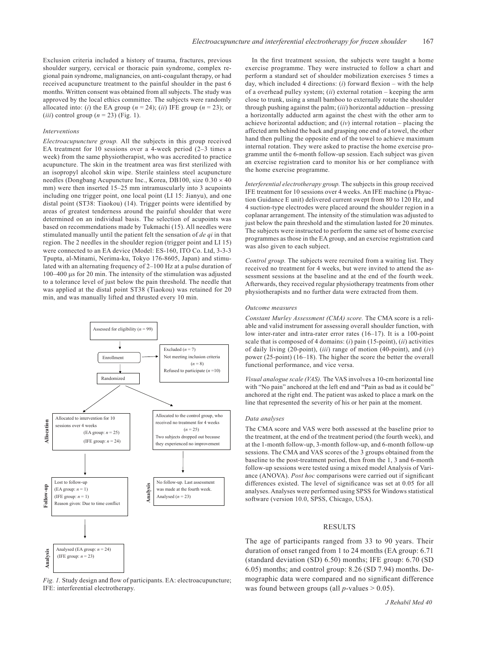Exclusion criteria included a history of trauma, fractures, previous shoulder surgery, cervical or thoracic pain syndrome, complex regional pain syndrome, malignancies, on anti-coagulant therapy, or had received acupuncture treatment to the painful shoulder in the past 6 months. Written consent was obtained from all subjects. The study was approved by the local ethics committee. The subjects were randomly allocated into: (*i*) the EA group ( $n = 24$ ); (*ii*) IFE group ( $n = 23$ ); or (*iii*) control group ( $n = 23$ ) (Fig. 1).

#### *Interventions*

*Electroacupuncture group.* All the subjects in this group received EA treatment for 10 sessions over a 4-week period (2–3 times a week) from the same physiotherapist, who was accredited to practice acupuncture. The skin in the treatment area was first sterilized with an isopropyl alcohol skin wipe. Sterile stainless steel acupuncture needles (Dongbang Acupuncture Inc., Korea, DB100, size 0.30 × 40 mm) were then inserted 15–25 mm intramuscularly into 3 acupoints including one trigger point, one local point (LI 15: Jianyu), and one distal point (ST38: Tiaokou) (14). Trigger points were identified by areas of greatest tenderness around the painful shoulder that were determined on an individual basis. The selection of acupoints was based on recommendations made by Tukmachi (15). All needles were stimulated manually until the patient felt the sensation of *de qi* in that region. The 2 needles in the shoulder region (trigger point and LI 15) were connected to an EA device (Model: ES-160, ITO Co. Ltd, 3-3-3 Tpupta, al-Minami, Nerima-ku, Tokyo 176-8605, Japan) and stimulated with an alternating frequency of 2–100 Hz at a pulse duration of 100–400 μs for 20 min. The intensity of the stimulation was adjusted to a tolerance level of just below the pain threshold. The needle that was applied at the distal point ST38 (Tiaokou) was retained for 20 min, and was manually lifted and thrusted every 10 min.



*Fig. 1.* Study design and flow of participants. EA: electroacupuncture; IFE: interferential electrotherapy.

In the first treatment session, the subjects were taught a home exercise programme. They were instructed to follow a chart and perform a standard set of shoulder mobilization exercises 5 times a day, which included 4 directions: (*i*) forward flexion – with the help of a overhead pulley system; (*ii*) external rotation – keeping the arm close to trunk, using a small bamboo to externally rotate the shoulder through pushing against the palm; (*iii*) horizontal adduction – pressing a horizontally adducted arm against the chest with the other arm to achieve horizontal adduction; and (*iv*) internal rotation – placing the affected arm behind the back and grasping one end of a towel, the other hand then pulling the opposite end of the towel to achieve maximum internal rotation. They were asked to practise the home exercise programme until the 6-month follow-up session. Each subject was given an exercise registration card to monitor his or her compliance with the home exercise programme.

*Interferential electrotherapy group.* The subjects in this group received IFE treatment for 10 sessions over 4 weeks. An IFE machine (a Phyaction Guidance E unit) delivered current swept from 80 to 120 Hz, and 4 suction-type electrodes were placed around the shoulder region in a coplanar arrangement. The intensity of the stimulation was adjusted to just below the pain threshold and the stimulation lasted for 20 minutes. The subjects were instructed to perform the same set of home exercise programmes as those in the EA group, and an exercise registration card was also given to each subject.

*Control group.* The subjects were recruited from a waiting list. They received no treatment for 4 weeks, but were invited to attend the assessment sessions at the baseline and at the end of the fourth week. Afterwards, they received regular physiotherapy treatments from other physiotherapists and no further data were extracted from them.

#### *Outcome measures*

*Constant Murley Assessment (CMA) score.* The CMA score is a reliable and valid instrument for assessing overall shoulder function, with low inter-rater and intra-rater error rates (16–17). It is a 100-point scale that is composed of 4 domains: (*i*) pain (15-point), (*ii*) activities of daily living (20-point), (*iii*) range of motion (40-point), and (*iv*) power (25-point) (16–18). The higher the score the better the overall functional performance, and vice versa.

*Visual analogue scale (VAS).* The VAS involves a 10-cm horizontal line with "No pain" anchored at the left end and "Pain as bad as it could be" anchored at the right end. The patient was asked to place a mark on the line that represented the severity of his or her pain at the moment.

#### *Data analyses*

The CMA score and VAS were both assessed at the baseline prior to the treatment, at the end of the treatment period (the fourth week), and at the 1-month follow-up, 3-month follow-up, and 6-month follow-up sessions. The CMA and VAS scores of the 3 groups obtained from the baseline to the post-treatment period, then from the 1, 3 and 6-month follow-up sessions were tested using a mixed model Analysis of Variance (ANOVA). *Post hoc* comparisons were carried out if significant differences existed. The level of significance was set at 0.05 for all analyses. Analyses were performed using SPSS for Windows statistical software (version 10.0, SPSS, Chicago, USA).

# **RESULTS**

The age of participants ranged from 33 to 90 years. Their duration of onset ranged from 1 to 24 months (EA group: 6.71 (standard deviation (SD) 6.50) months; IFE group: 6.70 (SD 6.05) months; and control group: 8.26 (SD 7.94) months. Demographic data were compared and no significant difference was found between groups (all  $p$ -values  $> 0.05$ ).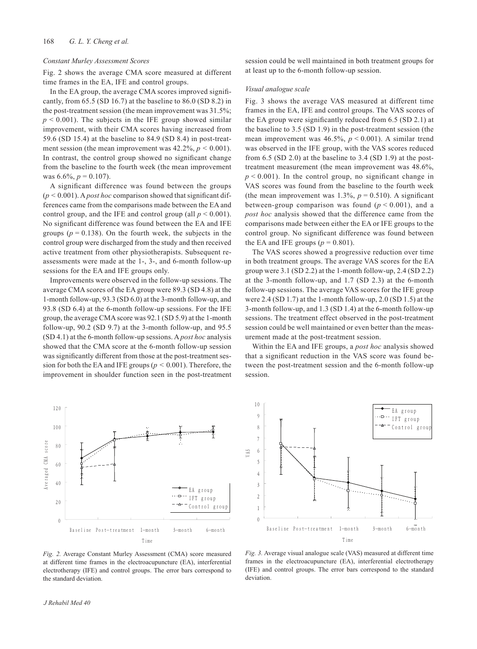#### *Constant Murley Assessment Scores*

Fig. 2 shows the average CMA score measured at different time frames in the EA, IFE and control groups.

In the EA group, the average CMA scores improved significantly, from 65.5 (SD 16.7) at the baseline to 86.0 (SD 8.2) in the post-treatment session (the mean improvement was 31.5%;  $p < 0.001$ ). The subjects in the IFE group showed similar improvement, with their CMA scores having increased from 59.6 (SD 15.4) at the baseline to 84.9 (SD 8.4) in post-treatment session (the mean improvement was  $42.2\%, p \le 0.001$ ). In contrast, the control group showed no significant change from the baseline to the fourth week (the mean improvement was  $6.6\%$ ,  $p = 0.107$ ).

A significant difference was found between the groups  $(p < 0.001)$ . A *post hoc* comparison showed that significant differences came from the comparisons made between the EA and control group, and the IFE and control group (all  $p < 0.001$ ). No significant difference was found between the EA and IFE groups ( $p = 0.138$ ). On the fourth week, the subjects in the control group were discharged from the study and then received active treatment from other physiotherapists. Subsequent reassessments were made at the 1-, 3-, and 6-month follow-up sessions for the EA and IFE groups only.

Improvements were observed in the follow-up sessions. The average CMA scores of the EA group were 89.3 (SD 4.8) at the 1-month follow-up, 93.3 (SD 6.0) at the 3-month follow-up, and 93.8 (SD 6.4) at the 6-month follow-up sessions. For the IFE group, the average CMA score was 92.1 (SD 5.9) at the 1-month follow-up, 90.2 (SD 9.7) at the 3-month follow-up, and 95.5 (SD 4.1) at the 6-month follow-up sessions. A *post hoc* analysis showed that the CMA score at the 6-month follow-up session was significantly different from those at the post-treatment session for both the EA and IFE groups ( $p < 0.001$ ). Therefore, the improvement in shoulder function seen in the post-treatment

120 100 iveraged CMA score Averaged CMA score  $80$ 60 40 EA group ٠α٠ IFT group 20 Control group 0 Baseline Post-treatment 1-month 3-month 6-month Time

session could be well maintained in both treatment groups for at least up to the 6-month follow-up session.

#### *Visual analogue scale*

Fig. 3 shows the average VAS measured at different time frames in the EA, IFE and control groups. The VAS scores of the EA group were significantly reduced from 6.5 (SD 2.1) at the baseline to 3.5 (SD 1.9) in the post-treatment session (the mean improvement was 46.5%, *p* < 0.001). A similar trend was observed in the IFE group, with the VAS scores reduced from 6.5 (SD 2.0) at the baseline to 3.4 (SD 1.9) at the posttreatment measurement (the mean improvement was 48.6%,  $p < 0.001$ ). In the control group, no significant change in VAS scores was found from the baseline to the fourth week (the mean improvement was  $1.3\%$ ,  $p = 0.510$ ). A significant between-group comparison was found  $(p < 0.001)$ , and a *post hoc* analysis showed that the difference came from the comparisons made between either the EA or IFE groups to the control group. No significant difference was found between the EA and IFE groups  $(p = 0.801)$ .

The VAS scores showed a progressive reduction over time in both treatment groups. The average VAS scores for the EA group were 3.1 (SD 2.2) at the 1-month follow-up, 2.4 (SD 2.2) at the 3-month follow-up, and 1.7 (SD 2.3) at the 6-month follow-up sessions. The average VAS scores for the IFE group were 2.4 (SD 1.7) at the 1-month follow-up, 2.0 (SD 1.5) at the 3-month follow-up, and 1.3 (SD 1.4) at the 6-month follow-up sessions. The treatment effect observed in the post-treatment session could be well maintained or even better than the measurement made at the post-treatment session.

Within the EA and IFE groups, a *post hoc* analysis showed that a significant reduction in the VAS score was found between the post-treatment session and the 6-month follow-up session.



*Fig. 2.* Average Constant Murley Assessment (CMA) score measured at different time frames in the electroacupuncture (EA), interferential electrotherapy (IFE) and control groups. The error bars correspond to the standard deviation.

*Fig. 3.* Average visual analogue scale (VAS) measured at different time frames in the electroacupuncture (EA), interferential electrotherapy (IFE) and control groups. The error bars correspond to the standard deviation.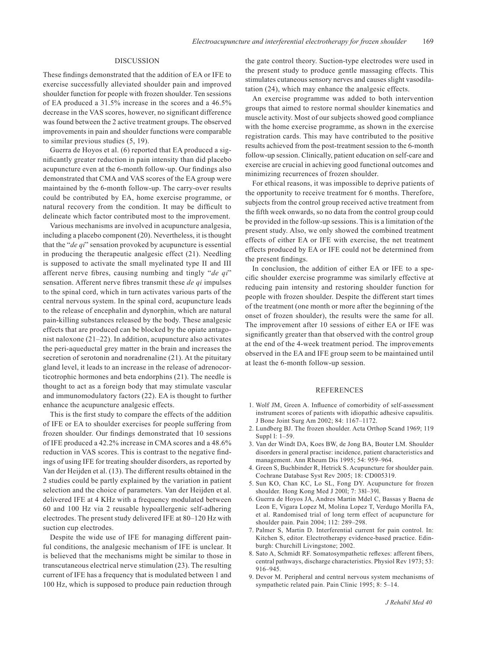## DISCUSSION

These findings demonstrated that the addition of EA or IFE to exercise successfully alleviated shoulder pain and improved shoulder function for people with frozen shoulder. Ten sessions of EA produced a 31.5% increase in the scores and a 46.5% decrease in the VAS scores, however, no significant difference was found between the 2 active treatment groups. The observed improvements in pain and shoulder functions were comparable to similar previous studies (5, 19).

Guerra de Hoyos et al. (6) reported that EA produced a significantly greater reduction in pain intensity than did placebo acupuncture even at the 6-month follow-up. Our findings also demonstrated that CMA and VAS scores of the EA group were maintained by the 6-month follow-up. The carry-over results could be contributed by EA, home exercise programme, or natural recovery from the condition. It may be difficult to delineate which factor contributed most to the improvement.

Various mechanisms are involved in acupuncture analgesia, including a placebo component (20). Nevertheless, it is thought that the "*de qi*" sensation provoked by acupuncture is essential in producing the therapeutic analgesic effect (21). Needling is supposed to activate the small myelinated type II and III afferent nerve fibres, causing numbing and tingly "*de qi*" sensation. Afferent nerve fibres transmit these *de qi* impulses to the spinal cord, which in turn activates various parts of the central nervous system. In the spinal cord, acupuncture leads to the release of encephalin and dynorphin, which are natural pain-killing substances released by the body. These analgesic effects that are produced can be blocked by the opiate antagonist naloxone (21–22). In addition, acupuncture also activates the peri-aqueductal grey matter in the brain and increases the secretion of serotonin and noradrenaline (21). At the pituitary gland level, it leads to an increase in the release of adrenocorticotrophic hormones and beta endorphins (21). The needle is thought to act as a foreign body that may stimulate vascular and immunomodulatory factors (22). EA is thought to further enhance the acupuncture analgesic effects.

This is the first study to compare the effects of the addition of IFE or EA to shoulder exercises for people suffering from frozen shoulder. Our findings demonstrated that 10 sessions of IFE produced a 42.2% increase in CMA scores and a 48.6% reduction in VAS scores. This is contrast to the negative findings of using IFE for treating shoulder disorders, as reported by Van der Heijden et al. (13). The different results obtained in the 2 studies could be partly explained by the variation in patient selection and the choice of parameters. Van der Heijden et al. delivered IFE at 4 KHz with a frequency modulated between 60 and 100 Hz via 2 reusable hypoallergenic self-adhering electrodes. The present study delivered IFE at 80–120 Hz with suction cup electrodes.

Despite the wide use of IFE for managing different painful conditions, the analgesic mechanism of IFE is unclear. It is believed that the mechanisms might be similar to those in transcutaneous electrical nerve stimulation (23). The resulting current of IFE has a frequency that is modulated between 1 and 100 Hz, which is supposed to produce pain reduction through the gate control theory. Suction-type electrodes were used in the present study to produce gentle massaging effects. This stimulates cutaneous sensory nerves and causes slight vasodilatation (24), which may enhance the analgesic effects.

An exercise programme was added to both intervention groups that aimed to restore normal shoulder kinematics and muscle activity. Most of our subjects showed good compliance with the home exercise programme, as shown in the exercise registration cards. This may have contributed to the positive results achieved from the post-treatment session to the 6-month follow-up session. Clinically, patient education on self-care and exercise are crucial in achieving good functional outcomes and minimizing recurrences of frozen shoulder.

For ethical reasons, it was impossible to deprive patients of the opportunity to receive treatment for 6 months. Therefore, subjects from the control group received active treatment from the fifth week onwards, so no data from the control group could be provided in the follow-up sessions. This is a limitation of the present study. Also, we only showed the combined treatment effects of either EA or IFE with exercise, the net treatment effects produced by EA or IFE could not be determined from the present findings.

In conclusion, the addition of either EA or IFE to a specific shoulder exercise programme was similarly effective at reducing pain intensity and restoring shoulder function for people with frozen shoulder. Despite the different start times of the treatment (one month or more after the beginning of the onset of frozen shoulder), the results were the same for all. The improvement after 10 sessions of either EA or IFE was significantly greater than that observed with the control group at the end of the 4-week treatment period. The improvements observed in the EA and IFE group seem to be maintained until at least the 6-month follow-up session.

## **REFERENCES**

- 1. Wolf JM, Green A. Influence of comorbidity of self-assessment instrument scores of patients with idiopathic adhesive capsulitis. J Bone Joint Surg Am 2002; 84: 1167–1172.
- 2. Lundberg BJ. The frozen shoulder. Acta Orthop Scand 1969; 119 Suppl l: 1–59.
- 3. Van der Windt DA, Koes BW, de Jong BA, Bouter LM. Shoulder disorders in general practise: incidence, patient characteristics and management. Ann Rheum Dis 1995; 54: 959–964.
- 4. Green S, Buchbinder R, Hetrick S. Acupuncture for shoulder pain. Cochrane Database Syst Rev 2005; 18: CD005319.
- 5. Sun KO, Chan KC, Lo SL, Fong DY. Acupuncture for frozen shoulder. Hong Kong Med J 200l; 7: 38l–39l.
- 6. Guerra de Hoyos JA, Andres Martin Mdel C, Bassas y Baena de Leon E, Vigara Lopez M, Molina Lopez T, Verdugo Morilla FA, et al. Randomised trial of long term effect of acupuncture for shoulder pain. Pain 2004; 112: 289–298.
- 7. Palmer S, Martin D. Interferential current for pain control. In: Kitchen S, editor. Electrotherapy evidence-based practice. Edinburgh: Churchill Livingstone; 2002.
- 8. Sato A, Schmidt RF. Somatosympathetic reflexes: afferent fibers, central pathways, discharge characteristics. Physiol Rev 1973; 53: 916–945.
- 9. Devor M. Peripheral and central nervous system mechanisms of sympathetic related pain. Pain Clinic 1995; 8: 5–14.